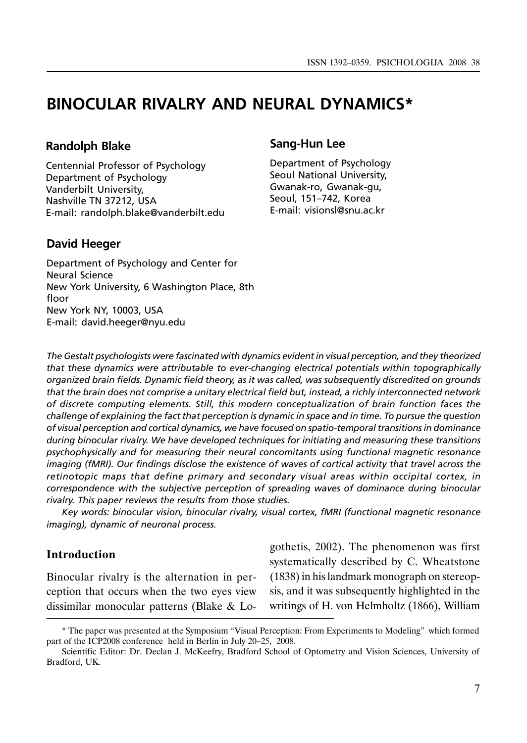# BINOCULAR RIVALRY AND NEURAL DYNAMICS\*

### Randolph Blake

Centennial Professor of Psychology Department of Psychology Vanderbilt University, Nashville TN 37212, USA E-mail: randolph.blake@vanderbilt.edu

## David Heeger

# Sang-Hun Lee

Department of Psychology Seoul National University, Gwanak-ro, Gwanak-gu, Seoul, 151–742, Korea E-mail: visionsl@snu.ac.kr

Department of Psychology and Center for Neural Science New York University, 6 Washington Place, 8th floor New York NY, 10003, USA E-mail: david.heeger@nyu.edu

The Gestalt psychologists were fascinated with dynamics evident in visual perception, and they theorized that these dynamics were attributable to ever-changing electrical potentials within topographically organized brain fields. Dynamic field theory, as it was called, was subsequently discredited on grounds that the brain does not comprise a unitary electrical field but, instead, a richly interconnected network of discrete computing elements. Still, this modern conceptualization of brain function faces the challenge of explaining the fact that perception is dynamic in space and in time. To pursue the question of visual perception and cortical dynamics, we have focused on spatio-temporal transitions in dominance during binocular rivalry. We have developed techniques for initiating and measuring these transitions psychophysically and for measuring their neural concomitants using functional magnetic resonance imaging (fMRI). Our findings disclose the existence of waves of cortical activity that travel across the retinotopic maps that define primary and secondary visual areas within occipital cortex, in correspondence with the subjective perception of spreading waves of dominance during binocular rivalry. This paper reviews the results from those studies.

Key words: binocular vision, binocular rivalry, visual cortex, fMRI (functional magnetic resonance imaging), dynamic of neuronal process.

## Introduction

Binocular rivalry is the alternation in perception that occurs when the two eyes view dissimilar monocular patterns (Blake & Logothetis, 2002). The phenomenon was first systematically described by C. Wheatstone (1838) in his landmark monograph on stereopsis, and it was subsequently highlighted in the writings of H. von Helmholtz (1866), William

<sup>\*</sup> The paper was presented at the Symposium "Visual Perception: From Experiments to Modeling" which formed part of the ICP2008 conference held in Berlin in July 20–25, 2008.

Scientific Editor: Dr. Declan J. McKeefry, Bradford School of Optometry and Vision Sciences, University of Bradford, UK.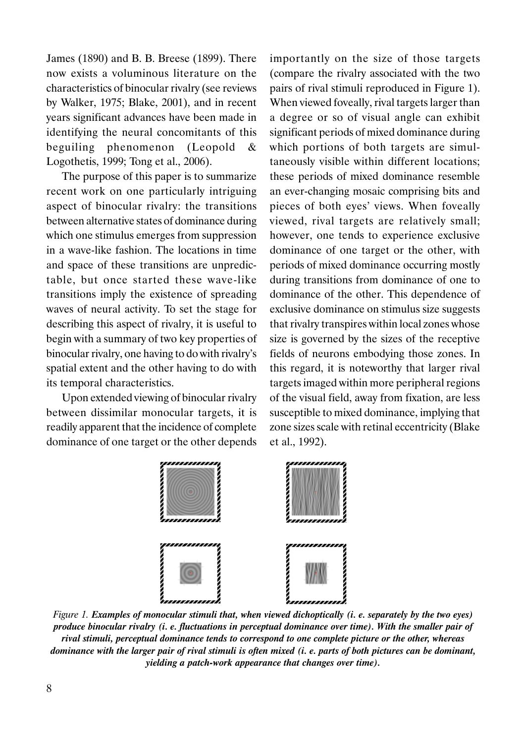James (1890) and B. B. Breese (1899). There now exists a voluminous literature on the characteristics of binocular rivalry (see reviews by Walker, 1975; Blake, 2001), and in recent years significant advances have been made in identifying the neural concomitants of this beguiling phenomenon (Leopold & Logothetis, 1999; Tong et al., 2006).

The purpose of this paper is to summarize recent work on one particularly intriguing aspect of binocular rivalry: the transitions between alternative states of dominance during which one stimulus emerges from suppression in a wave-like fashion. The locations in time and space of these transitions are unpredictable, but once started these wave-like transitions imply the existence of spreading waves of neural activity. To set the stage for describing this aspect of rivalry, it is useful to begin with a summary of two key properties of binocular rivalry, one having to do with rivalry's spatial extent and the other having to do with its temporal characteristics.

Upon extended viewing of binocular rivalry between dissimilar monocular targets, it is readily apparent that the incidence of complete dominance of one target or the other depends

importantly on the size of those targets (compare the rivalry associated with the two pairs of rival stimuli reproduced in Figure 1). When viewed foveally, rival targets larger than a degree or so of visual angle can exhibit significant periods of mixed dominance during which portions of both targets are simultaneously visible within different locations; these periods of mixed dominance resemble an ever-changing mosaic comprising bits and pieces of both eyes' views. When foveally viewed, rival targets are relatively small; however, one tends to experience exclusive dominance of one target or the other, with periods of mixed dominance occurring mostly during transitions from dominance of one to dominance of the other. This dependence of exclusive dominance on stimulus size suggests that rivalry transpires within local zones whose size is governed by the sizes of the receptive fields of neurons embodying those zones. In this regard, it is noteworthy that larger rival targets imaged within more peripheral regions of the visual field, away from fixation, are less susceptible to mixed dominance, implying that zone sizes scale with retinal eccentricity (Blake et al., 1992).



Figure 1. Examples of monocular stimuli that, when viewed dichoptically (i. e. separately by the two eyes) produce binocular rivalry (i. e. fluctuations in perceptual dominance over time). With the smaller pair of rival stimuli, perceptual dominance tends to correspond to one complete picture or the other, whereas dominance with the larger pair of rival stimuli is often mixed (i. e. parts of both pictures can be dominant, yielding a patch-work appearance that changes over time).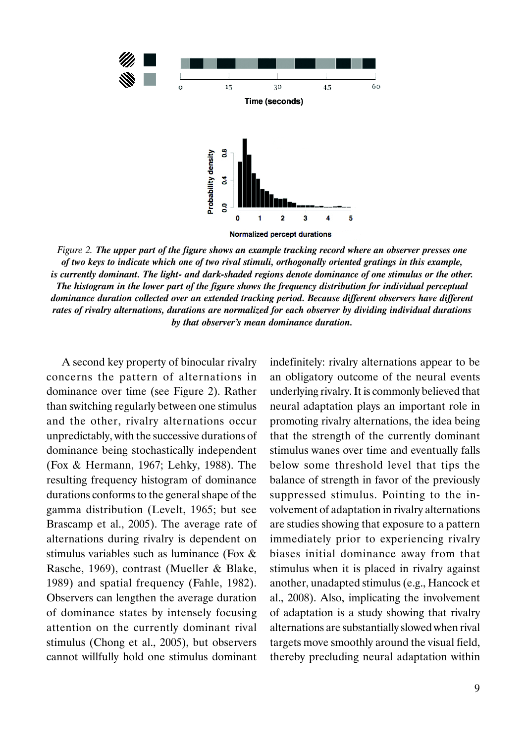

Figure 2. The upper part of the figure shows an example tracking record where an observer presses one of two keys to indicate which one of two rival stimuli, orthogonally oriented gratings in this example, is currently dominant. The light- and dark-shaded regions denote dominance of one stimulus or the other. The histogram in the lower part of the figure shows the frequency distribution for individual perceptual dominance duration collected over an extended tracking period. Because different observers have different rates of rivalry alternations, durations are normalized for each observer by dividing individual durations by that observer's mean dominance duration.

A second key property of binocular rivalry concerns the pattern of alternations in dominance over time (see Figure 2). Rather than switching regularly between one stimulus and the other, rivalry alternations occur unpredictably, with the successive durations of dominance being stochastically independent (Fox & Hermann, 1967; Lehky, 1988). The resulting frequency histogram of dominance durations conforms to the general shape of the gamma distribution (Levelt, 1965; but see Brascamp et al., 2005). The average rate of alternations during rivalry is dependent on stimulus variables such as luminance (Fox & Rasche, 1969), contrast (Mueller & Blake, 1989) and spatial frequency (Fahle, 1982). Observers can lengthen the average duration of dominance states by intensely focusing attention on the currently dominant rival stimulus (Chong et al., 2005), but observers cannot willfully hold one stimulus dominant

indefinitely: rivalry alternations appear to be an obligatory outcome of the neural events underlying rivalry. It is commonly believed that neural adaptation plays an important role in promoting rivalry alternations, the idea being that the strength of the currently dominant stimulus wanes over time and eventually falls below some threshold level that tips the balance of strength in favor of the previously suppressed stimulus. Pointing to the involvement of adaptation in rivalry alternations are studies showing that exposure to a pattern immediately prior to experiencing rivalry biases initial dominance away from that stimulus when it is placed in rivalry against another, unadapted stimulus (e.g., Hancock et al., 2008). Also, implicating the involvement of adaptation is a study showing that rivalry alternations are substantially slowed when rival targets move smoothly around the visual field, thereby precluding neural adaptation within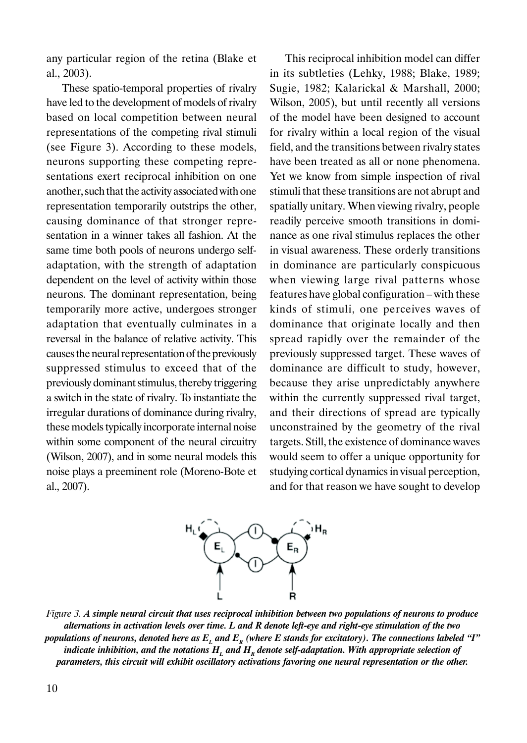any particular region of the retina (Blake et al., 2003).

These spatio-temporal properties of rivalry have led to the development of models of rivalry based on local competition between neural representations of the competing rival stimuli (see Figure 3). According to these models, neurons supporting these competing representations exert reciprocal inhibition on one another, such that the activity associated with one representation temporarily outstrips the other, causing dominance of that stronger representation in a winner takes all fashion. At the same time both pools of neurons undergo selfadaptation, with the strength of adaptation dependent on the level of activity within those neurons. The dominant representation, being temporarily more active, undergoes stronger adaptation that eventually culminates in a reversal in the balance of relative activity. This causes the neural representation of the previously suppressed stimulus to exceed that of the previously dominant stimulus, thereby triggering a switch in the state of rivalry. To instantiate the irregular durations of dominance during rivalry, these models typically incorporate internal noise within some component of the neural circuitry (Wilson, 2007), and in some neural models this noise plays a preeminent role (Moreno-Bote et al., 2007).

This reciprocal inhibition model can differ in its subtleties (Lehky, 1988; Blake, 1989; Sugie, 1982; Kalarickal & Marshall, 2000; Wilson, 2005), but until recently all versions of the model have been designed to account for rivalry within a local region of the visual field, and the transitions between rivalry states have been treated as all or none phenomena. Yet we know from simple inspection of rival stimuli that these transitions are not abrupt and spatially unitary. When viewing rivalry, people readily perceive smooth transitions in dominance as one rival stimulus replaces the other in visual awareness. These orderly transitions in dominance are particularly conspicuous when viewing large rival patterns whose features have global configuration – with these kinds of stimuli, one perceives waves of dominance that originate locally and then spread rapidly over the remainder of the previously suppressed target. These waves of dominance are difficult to study, however, because they arise unpredictably anywhere within the currently suppressed rival target, and their directions of spread are typically unconstrained by the geometry of the rival targets. Still, the existence of dominance waves would seem to offer a unique opportunity for studying cortical dynamics in visual perception, and for that reason we have sought to develop



Figure 3. A simple neural circuit that uses reciprocal inhibition between two populations of neurons to produce alternations in activation levels over time. L and R denote left-eye and right-eye stimulation of the two populations of neurons, denoted here as  $E<sub>L</sub>$  and  $E<sub>R</sub>$  (where E stands for excitatory). The connections labeled "I" indicate inhibition, and the notations  $H<sub>L</sub>$  and  $H<sub>R</sub>$  denote self-adaptation. With appropriate selection of parameters, this circuit will exhibit oscillatory activations favoring one neural representation or the other.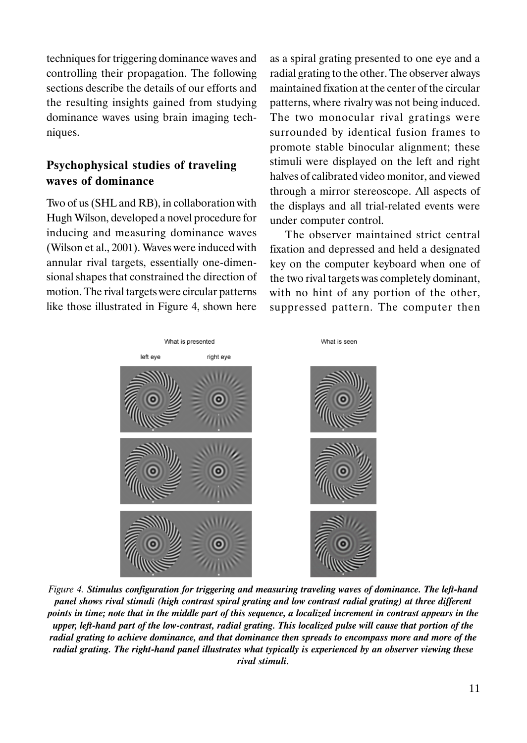techniques for triggering dominance waves and controlling their propagation. The following sections describe the details of our efforts and the resulting insights gained from studying dominance waves using brain imaging techniques.

## Psychophysical studies of traveling waves of dominance

Two of us (SHL and RB), in collaboration with Hugh Wilson, developed a novel procedure for inducing and measuring dominance waves (Wilson et al., 2001). Waves were induced with annular rival targets, essentially one-dimensional shapes that constrained the direction of motion. The rival targets were circular patterns like those illustrated in Figure 4, shown here

as a spiral grating presented to one eye and a radial grating to the other. The observer always maintained fixation at the center of the circular patterns, where rivalry was not being induced. The two monocular rival gratings were surrounded by identical fusion frames to promote stable binocular alignment; these stimuli were displayed on the left and right halves of calibrated video monitor, and viewed through a mirror stereoscope. All aspects of the displays and all trial-related events were under computer control.

The observer maintained strict central fixation and depressed and held a designated key on the computer keyboard when one of the two rival targets was completely dominant, with no hint of any portion of the other, suppressed pattern. The computer then



Figure 4. Stimulus configuration for triggering and measuring traveling waves of dominance. The left-hand panel shows rival stimuli (high contrast spiral grating and low contrast radial grating) at three different points in time; note that in the middle part of this sequence, a localized increment in contrast appears in the upper, left-hand part of the low-contrast, radial grating. This localized pulse will cause that portion of the radial grating to achieve dominance, and that dominance then spreads to encompass more and more of the radial grating. The right-hand panel illustrates what typically is experienced by an observer viewing these rival stimuli.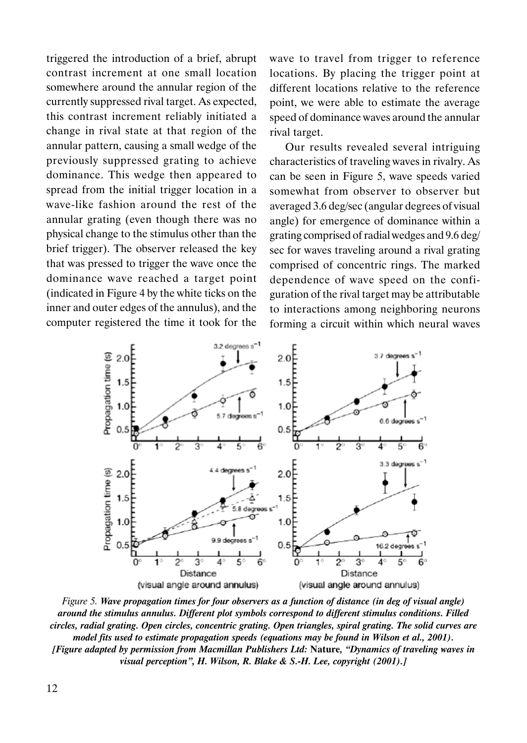triggered the introduction of a brief, abrupt contrast increment at one small location somewhere around the annular region of the currently suppressed rival target. As expected, this contrast increment reliably initiated a change in rival state at that region of the annular pattern, causing a small wedge of the previously suppressed grating to achieve dominance. This wedge then appeared to spread from the initial trigger location in a wave-like fashion around the rest of the annular grating (even though there was no physical change to the stimulus other than the brief trigger). The observer released the key that was pressed to trigger the wave once the dominance wave reached a target point (indicated in Figure 4 by the white ticks on the inner and outer edges of the annulus), and the computer registered the time it took for the

wave to travel from trigger to reference locations. By placing the trigger point at different locations relative to the reference point, we were able to estimate the average speed of dominance waves around the annular rival target.

Our results revealed several intriguing characteristics of traveling waves in rivalry. As can be seen in Figure 5, wave speeds varied somewhat from observer to observer but averaged 3.6 deg/sec (angular degrees of visual angle) for emergence of dominance within a grating comprised of radial wedges and 9.6 deg/ sec for waves traveling around a rival grating comprised of concentric rings. The marked dependence of wave speed on the configuration of the rival target may be attributable to interactions among neighboring neurons forming a circuit within which neural waves



Figure 5. Wave propagation times for four observers as a function of distance (in deg of visual angle) around the stimulus annulus. Different plot symbols correspond to different stimulus conditions. Filled circles, radial grating. Open circles, concentric grating. Open triangles, spiral grating. The solid curves are model fits used to estimate propagation speeds (equations may be found in Wilson et al., 2001). [Figure adapted by permission from Macmillan Publishers Ltd: Nature, "Dynamics of traveling waves in visual perception", H. Wilson, R. Blake & S.-H. Lee, copyright (2001).]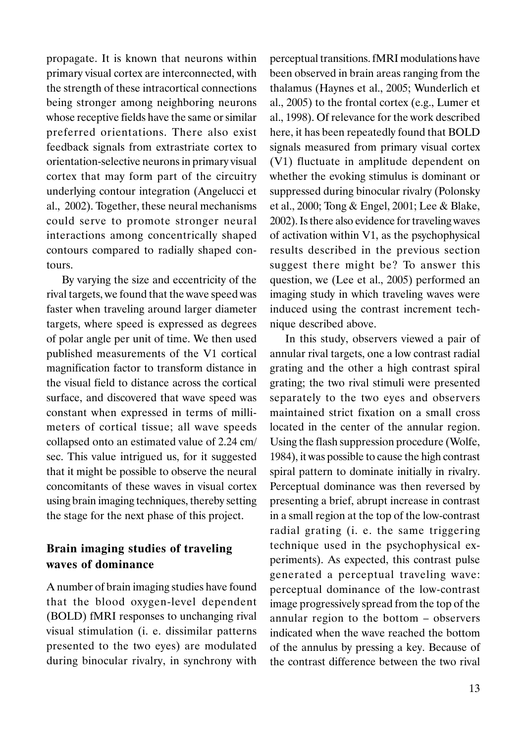propagate. It is known that neurons within primary visual cortex are interconnected, with the strength of these intracortical connections being stronger among neighboring neurons whose receptive fields have the same or similar preferred orientations. There also exist feedback signals from extrastriate cortex to orientation-selective neurons in primary visual cortex that may form part of the circuitry underlying contour integration (Angelucci et al., 2002). Together, these neural mechanisms could serve to promote stronger neural interactions among concentrically shaped contours compared to radially shaped contours.

By varying the size and eccentricity of the rival targets, we found that the wave speed was faster when traveling around larger diameter targets, where speed is expressed as degrees of polar angle per unit of time. We then used published measurements of the V1 cortical magnification factor to transform distance in the visual field to distance across the cortical surface, and discovered that wave speed was constant when expressed in terms of millimeters of cortical tissue; all wave speeds collapsed onto an estimated value of 2.24 cm/ sec. This value intrigued us, for it suggested that it might be possible to observe the neural concomitants of these waves in visual cortex using brain imaging techniques, thereby setting the stage for the next phase of this project.

## Brain imaging studies of traveling waves of dominance

A number of brain imaging studies have found that the blood oxygen-level dependent (BOLD) fMRI responses to unchanging rival visual stimulation (i. e. dissimilar patterns presented to the two eyes) are modulated during binocular rivalry, in synchrony with

perceptual transitions. fMRI modulations have been observed in brain areas ranging from the thalamus (Haynes et al., 2005; Wunderlich et al., 2005) to the frontal cortex (e.g., Lumer et al., 1998). Of relevance for the work described here, it has been repeatedly found that BOLD signals measured from primary visual cortex (V1) fluctuate in amplitude dependent on whether the evoking stimulus is dominant or suppressed during binocular rivalry (Polonsky et al., 2000; Tong & Engel, 2001; Lee & Blake, 2002). Is there also evidence for traveling waves of activation within V1, as the psychophysical results described in the previous section suggest there might be? To answer this question, we (Lee et al., 2005) performed an imaging study in which traveling waves were induced using the contrast increment technique described above.

In this study, observers viewed a pair of annular rival targets, one a low contrast radial grating and the other a high contrast spiral grating; the two rival stimuli were presented separately to the two eyes and observers maintained strict fixation on a small cross located in the center of the annular region. Using the flash suppression procedure (Wolfe, 1984), it was possible to cause the high contrast spiral pattern to dominate initially in rivalry. Perceptual dominance was then reversed by presenting a brief, abrupt increase in contrast in a small region at the top of the low-contrast radial grating (i. e. the same triggering technique used in the psychophysical experiments). As expected, this contrast pulse generated a perceptual traveling wave: perceptual dominance of the low-contrast image progressively spread from the top of the annular region to the bottom – observers indicated when the wave reached the bottom of the annulus by pressing a key. Because of the contrast difference between the two rival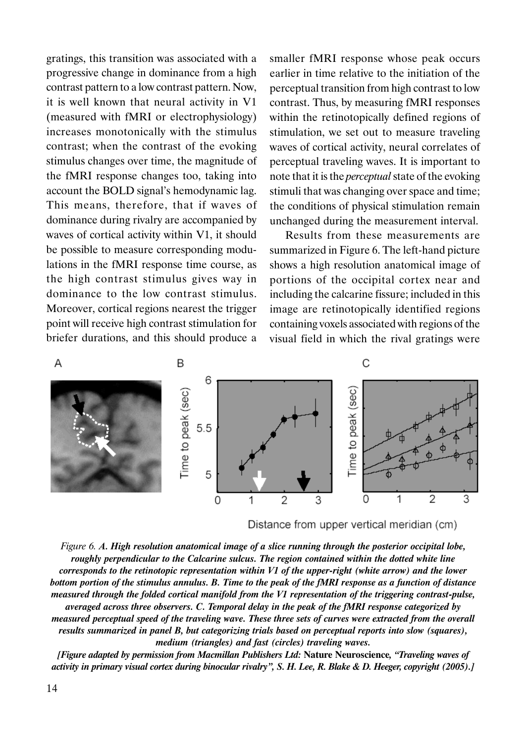gratings, this transition was associated with a progressive change in dominance from a high contrast pattern to a low contrast pattern. Now, it is well known that neural activity in V1 (measured with fMRI or electrophysiology) increases monotonically with the stimulus contrast; when the contrast of the evoking stimulus changes over time, the magnitude of the fMRI response changes too, taking into account the BOLD signal's hemodynamic lag. This means, therefore, that if waves of dominance during rivalry are accompanied by waves of cortical activity within V1, it should be possible to measure corresponding modulations in the fMRI response time course, as the high contrast stimulus gives way in dominance to the low contrast stimulus. Moreover, cortical regions nearest the trigger point will receive high contrast stimulation for briefer durations, and this should produce a

smaller fMRI response whose peak occurs earlier in time relative to the initiation of the perceptual transition from high contrast to low contrast. Thus, by measuring fMRI responses within the retinotopically defined regions of stimulation, we set out to measure traveling waves of cortical activity, neural correlates of perceptual traveling waves. It is important to note that it is the *perceptual* state of the evoking stimuli that was changing over space and time; the conditions of physical stimulation remain unchanged during the measurement interval.

Results from these measurements are summarized in Figure 6. The left-hand picture shows a high resolution anatomical image of portions of the occipital cortex near and including the calcarine fissure; included in this image are retinotopically identified regions containing voxels associated with regions of the visual field in which the rival gratings were



Distance from upper vertical meridian (cm)

Figure 6. A. High resolution anatomical image of a slice running through the posterior occipital lobe, roughly perpendicular to the Calcarine sulcus. The region contained within the dotted white line corresponds to the retinotopic representation within V1 of the upper-right (white arrow) and the lower bottom portion of the stimulus annulus. B. Time to the peak of the fMRI response as a function of distance measured through the folded cortical manifold from the V1 representation of the triggering contrast-pulse, averaged across three observers. C. Temporal delay in the peak of the fMRI response categorized by measured perceptual speed of the traveling wave. These three sets of curves were extracted from the overall results summarized in panel B, but categorizing trials based on perceptual reports into slow (squares), medium (triangles) and fast (circles) traveling waves.

[Figure adapted by permission from Macmillan Publishers Ltd: Nature Neuroscience, "Traveling waves of activity in primary visual cortex during binocular rivalry", S. H. Lee, R. Blake & D. Heeger, copyright (2005).]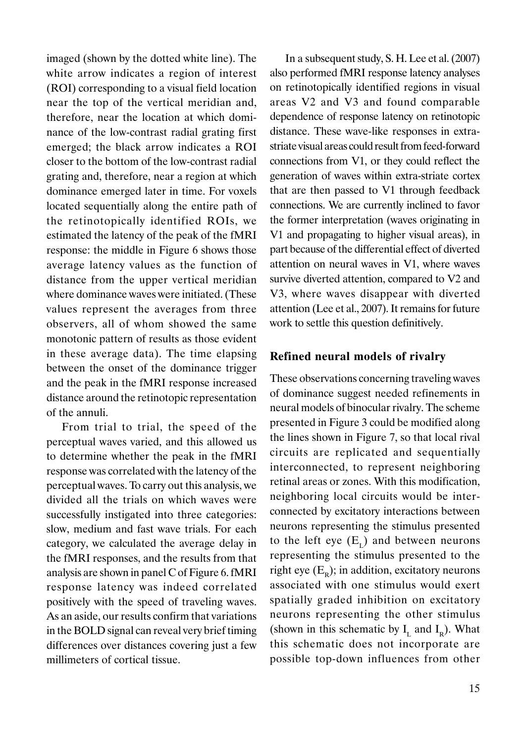imaged (shown by the dotted white line). The white arrow indicates a region of interest (ROI) corresponding to a visual field location near the top of the vertical meridian and, therefore, near the location at which dominance of the low-contrast radial grating first emerged; the black arrow indicates a ROI closer to the bottom of the low-contrast radial grating and, therefore, near a region at which dominance emerged later in time. For voxels located sequentially along the entire path of the retinotopically identified ROIs, we estimated the latency of the peak of the fMRI response: the middle in Figure 6 shows those average latency values as the function of distance from the upper vertical meridian where dominance waves were initiated. (These values represent the averages from three observers, all of whom showed the same monotonic pattern of results as those evident in these average data). The time elapsing between the onset of the dominance trigger and the peak in the fMRI response increased distance around the retinotopic representation of the annuli.

From trial to trial, the speed of the perceptual waves varied, and this allowed us to determine whether the peak in the fMRI response was correlated with the latency of the perceptual waves. To carry out this analysis, we divided all the trials on which waves were successfully instigated into three categories: slow, medium and fast wave trials. For each category, we calculated the average delay in the fMRI responses, and the results from that analysis are shown in panel C of Figure 6. fMRI response latency was indeed correlated positively with the speed of traveling waves. As an aside, our results confirm that variations in the BOLD signal can reveal very brief timing differences over distances covering just a few millimeters of cortical tissue.

In a subsequent study, S. H. Lee et al. (2007) also performed fMRI response latency analyses on retinotopically identified regions in visual areas V2 and V3 and found comparable dependence of response latency on retinotopic distance. These wave-like responses in extrastriate visual areas could result from feed-forward connections from V1, or they could reflect the generation of waves within extra-striate cortex that are then passed to V1 through feedback connections. We are currently inclined to favor the former interpretation (waves originating in V1 and propagating to higher visual areas), in part because of the differential effect of diverted attention on neural waves in V1, where waves survive diverted attention, compared to V2 and V3, where waves disappear with diverted attention (Lee et al., 2007). It remains for future work to settle this question definitively.

### Refined neural models of rivalry

These observations concerning traveling waves of dominance suggest needed refinements in neural models of binocular rivalry. The scheme presented in Figure 3 could be modified along the lines shown in Figure 7, so that local rival circuits are replicated and sequentially interconnected, to represent neighboring retinal areas or zones. With this modification, neighboring local circuits would be interconnected by excitatory interactions between neurons representing the stimulus presented to the left eye  $(E<sub>r</sub>)$  and between neurons representing the stimulus presented to the right eye  $(E_p)$ ; in addition, excitatory neurons associated with one stimulus would exert spatially graded inhibition on excitatory neurons representing the other stimulus (shown in this schematic by  $I_L$  and  $I_R$ ). What this schematic does not incorporate are possible top-down influences from other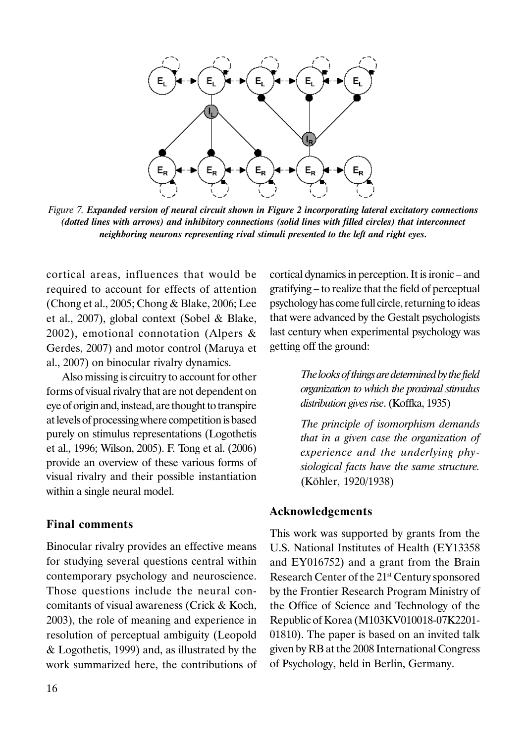

Figure 7. Expanded version of neural circuit shown in Figure 2 incorporating lateral excitatory connections (dotted lines with arrows) and inhibitory connections (solid lines with filled circles) that interconnect neighboring neurons representing rival stimuli presented to the left and right eyes.

cortical areas, influences that would be required to account for effects of attention (Chong et al., 2005; Chong & Blake, 2006; Lee et al., 2007), global context (Sobel & Blake, 2002), emotional connotation (Alpers & Gerdes, 2007) and motor control (Maruya et al., 2007) on binocular rivalry dynamics.

Also missing is circuitry to account for other forms of visual rivalry that are not dependent on eye of origin and, instead, are thought to transpire at levels of processing where competition is based purely on stimulus representations (Logothetis et al., 1996; Wilson, 2005). F. Tong et al. (2006) provide an overview of these various forms of visual rivalry and their possible instantiation within a single neural model.

### Final comments

Binocular rivalry provides an effective means for studying several questions central within contemporary psychology and neuroscience. Those questions include the neural concomitants of visual awareness (Crick & Koch, 2003), the role of meaning and experience in resolution of perceptual ambiguity (Leopold & Logothetis, 1999) and, as illustrated by the work summarized here, the contributions of

cortical dynamics in perception. It is ironic – and gratifying – to realize that the field of perceptual psychology has come full circle, returning to ideas that were advanced by the Gestalt psychologists last century when experimental psychology was getting off the ground:

> The looks of things are determined by the field organization to which the proximal stimulus distribution gives rise. (Koffka, 1935)

> The principle of isomorphism demands that in a given case the organization of experience and the underlying physiological facts have the same structure. (Köhler, 1920/1938)

#### Acknowledgements

This work was supported by grants from the U.S. National Institutes of Health (EY13358 and EY016752) and a grant from the Brain Research Center of the 21<sup>st</sup> Century sponsored by the Frontier Research Program Ministry of the Office of Science and Technology of the Republic of Korea (M103KV010018-07K2201- 01810). The paper is based on an invited talk given by RB at the 2008 International Congress of Psychology, held in Berlin, Germany.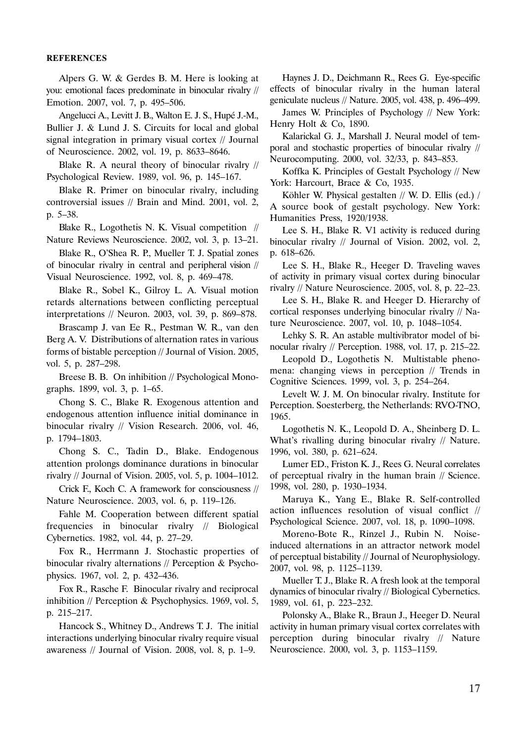#### REFERENCES

Alpers G. W. & Gerdes B. M. Here is looking at you: emotional faces predominate in binocular rivalry // Emotion. 2007, vol. 7, p. 495–506.

Angelucci A., Levitt J. B., Walton E. J. S., Hupé J.-M., Bullier J. & Lund J. S. Circuits for local and global signal integration in primary visual cortex // Journal of Neuroscience. 2002, vol. 19, p. 8633–8646.

Blake R. A neural theory of binocular rivalry // Psychological Review. 1989, vol. 96, p. 145–167.

Blake R. Primer on binocular rivalry, including controversial issues // Brain and Mind. 2001, vol. 2, p. 5–38.

Blake R., Logothetis N. K. Visual competition // Nature Reviews Neuroscience. 2002, vol. 3, p. 13–21.

Blake R., O'Shea R. P., Mueller T. J. Spatial zones of binocular rivalry in central and peripheral vision // Visual Neuroscience. 1992, vol. 8, p. 469–478.

Blake R., Sobel K., Gilroy L. A. Visual motion retards alternations between conflicting perceptual interpretations // Neuron. 2003, vol. 39, p. 869–878.

Brascamp J. van Ee R., Pestman W. R., van den Berg A. V. Distributions of alternation rates in various forms of bistable perception // Journal of Vision. 2005, vol. 5, p. 287–298.

Breese B. B. On inhibition // Psychological Monographs. 1899, vol. 3, p. 1–65.

Chong S. C., Blake R. Exogenous attention and endogenous attention influence initial dominance in binocular rivalry // Vision Research. 2006, vol. 46, p. 1794–1803.

Chong S. C., Tadin D., Blake. Endogenous attention prolongs dominance durations in binocular rivalry // Journal of Vision. 2005, vol. 5, p. 1004–1012.

Crick F., Koch C. A framework for consciousness // Nature Neuroscience. 2003, vol. 6, p. 119–126.

Fahle M. Cooperation between different spatial frequencies in binocular rivalry // Biological Cybernetics. 1982, vol. 44, p. 27–29.

Fox R., Herrmann J. Stochastic properties of binocular rivalry alternations // Perception & Psychophysics. 1967, vol. 2, p. 432–436.

Fox R., Rasche F. Binocular rivalry and reciprocal inhibition // Perception & Psychophysics. 1969, vol. 5, p. 215–217.

Hancock S., Whitney D., Andrews T. J. The initial interactions underlying binocular rivalry require visual awareness // Journal of Vision. 2008, vol. 8, p. 1–9.

Haynes J. D., Deichmann R., Rees G. Eye-specific effects of binocular rivalry in the human lateral geniculate nucleus // Nature. 2005, vol. 438, p. 496–499.

James W. Principles of Psychology // New York: Henry Holt & Co, 1890.

Kalarickal G. J., Marshall J. Neural model of temporal and stochastic properties of binocular rivalry // Neurocomputing. 2000, vol. 32/33, p. 843–853.

Koffka K. Principles of Gestalt Psychology // New York: Harcourt, Brace & Co, 1935.

Köhler W. Physical gestalten // W. D. Ellis (ed.) / A source book of gestalt psychology. New York: Humanities Press, 1920/1938.

Lee S. H., Blake R. V1 activity is reduced during binocular rivalry // Journal of Vision. 2002, vol. 2, p. 618–626.

Lee S. H., Blake R., Heeger D. Traveling waves of activity in primary visual cortex during binocular rivalry // Nature Neuroscience. 2005, vol. 8, p. 22–23.

Lee S. H., Blake R. and Heeger D. Hierarchy of cortical responses underlying binocular rivalry // Nature Neuroscience. 2007, vol. 10, p. 1048–1054.

Lehky S. R. An astable multivibrator model of binocular rivalry // Perception. 1988, vol. 17, p. 215–22.

Leopold D., Logothetis N. Multistable phenomena: changing views in perception // Trends in Cognitive Sciences. 1999, vol. 3, p. 254–264.

Levelt W. J. M. On binocular rivalry. Institute for Perception. Soesterberg, the Netherlands: RVO-TNO, 1965.

Logothetis N. K., Leopold D. A., Sheinberg D. L. What's rivalling during binocular rivalry // Nature. 1996, vol. 380, p. 621–624.

Lumer ED., Friston K. J., Rees G. Neural correlates of perceptual rivalry in the human brain // Science. 1998, vol. 280, p. 1930–1934.

Maruya K., Yang E., Blake R. Self-controlled action influences resolution of visual conflict // Psychological Science. 2007, vol. 18, p. 1090–1098.

Moreno-Bote R., Rinzel J., Rubin N. Noiseinduced alternations in an attractor network model of perceptual bistability // Journal of Neurophysiology. 2007, vol. 98, p. 1125–1139.

Mueller T. J., Blake R. A fresh look at the temporal dynamics of binocular rivalry // Biological Cybernetics. 1989, vol. 61, p. 223–232.

Polonsky A., Blake R., Braun J., Heeger D. Neural activity in human primary visual cortex correlates with perception during binocular rivalry // Nature Neuroscience. 2000, vol. 3, p. 1153–1159.